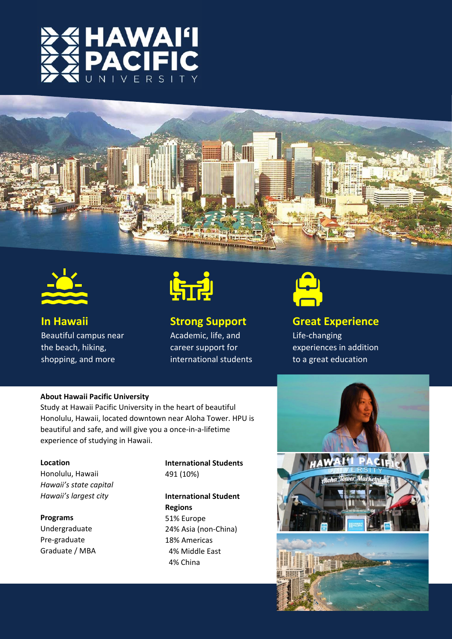





**In Hawaii** Beautiful campus near the beach, hiking, shopping, and more



### **Strong Support**

Academic, life, and career support for international students



### **Great Experience**

Life-changing experiences in addition to a great education

#### **About Hawaii Pacific University**

Study at Hawaii Pacific University in the heart of beautiful Honolulu, Hawaii, located downtown near Aloha Tower. HPU is beautiful and safe, and will give you a once-in-a-lifetime experience of studying in Hawaii.

#### **Location**

Honolulu, Hawaii *Hawaii's state capital Hawaii's largest city*

**Programs** Undergraduate Pre-graduate Graduate / MBA

### **International Students** 491 (10%)

### **International Student Regions** 51% Europe

24% Asia (non-China) 18% Americas 4% Middle East 4% China